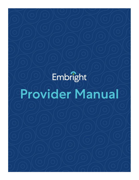# Embright **Provider Manual**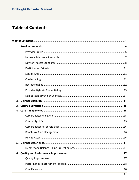# **Table of Contents**

| 2. |  |
|----|--|
|    |  |
|    |  |
|    |  |
|    |  |
|    |  |
|    |  |
|    |  |
|    |  |
|    |  |
|    |  |
|    |  |
|    |  |
|    |  |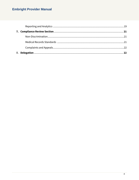# **Embright Provider Manual**

| 8. |  |
|----|--|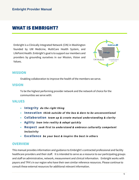# WHAT IS EMBRIGHT?

Embright is a Clinically Integrated Network (CIN) in Washington founded by UW Medicine, MultiCare Health System, and LifePoint Health. Embright's goal is to support our members and providers by grounding ourselves in our Mission, Vision and Values.



#### **MISSION**

Enabling collaboration to improve the health of the members we serve.

#### **VISION**

To be the highest performing provider network and the network of choice for the communities we serve with:

#### **VALUES**

- **Integrity** *do the right thing*
- **Innovation** *think outside of the box & dare to be unconventional*
- **Collaboration** *team up & create mutual understanding & clarity*
- **Agility** *lean into reality & adapt quickly*
- **Respect** *seek first to understand & embrace culturally competent inclusivity*
- **Excellence** *be your best & inspire the best in others*

#### **OVERVIEW**

This manual provides information and guidance to Embright's contracted professional and facility healthcare providers and their staff. It is intended to serve as a resource to our participating groups and staff on administrative, network, measurement and clinical information. Embright works with payors and TPA's in our region who have their own similar reference resources. Please continue to consult these external resources for additional relevant information.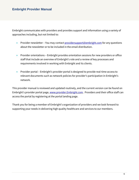Embright communicates with providers and provides support and information using a variety of approaches including, but not limited to:

- Provider newsletter You may contact [providersupport@embright.com](mailto:providersupport@embright.com) for any questions about the newsletter or to be included in the email distribution.
- Provider orientations Embright provides orientation sessions for new providers or office staff that include an overview of Embright's role and a review of key processes and requirements involved in working with Embright and its clients.
- Provider portal Embright's provider portal is designed to provide real-time access to relevant documents such as network policies for provider's participation in Embright's network.

This provider manual is reviewed and updated routinely, and the current version can be found on Embright's provider portal page, [www.provider.Embright.com.](http://www.provider.embright.com/) Providers and their office staff can access the portal by registering at the portal landing page.

Thank you for being a member of Embright's organization of providers and we look forward to supporting your needs in delivering high quality healthcare and services to our members.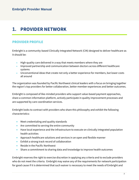# **1. PROVIDER NETWORK**

## **PROVIDER PROFILE**

Embright is a community-based Clinically Integrated Network (CIN) designed to deliver healthcare as it should be:

- High-quality care delivered in a way that meets members where they are
- Improved partnership and communication between doctors across different healthcare systems
- Unconventional ideas that create not only a better experience for members, but lower costs all around

The organization was founded by Pacific Northwest clinical leaders with a focus on bringing together the region's top providers for better collaboration, better member experiences and better outcomes.

Embright is composed of like-minded providers who support value-based payment approaches, share a common information platform, actively participate in quality improvement processes and are supported by care coordination services.

Embright looks to contract with providers who share this philosophy and exhibit the following characteristics:

- Meet credentialing and quality standards
- Are committed to serving the entire community
- Have local experience and the infrastructure to execute on clinically integrated population health activities
- Approach healthcare solutions and services in an open and flexible manner
- Exhibit a strong track record of collaboration
- Reside in the Pacific Northwest
- Share a commitment to sharing data and knowledge to improve health outcomes

Embright reserves the right to exercise discretion in applying any criteria and to exclude providers who do not meet the criteria. Embright may waive any of the requirements for network participation for good cause if it is determined that such waiver is necessary to meet the needs of Embright and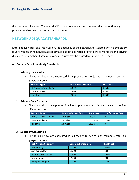the community it serves. The refusal of Embright to waive any requirement shall not entitle any provider to a hearing or any other rights to review.

## **NETWORK ADEQUACY STANDARDS**

Embright evaluates, and improves on, the adequacy of the network and availability for members by routinely measuring network adequacy against both as ratios of providers to members and driving distances for member. These ratios and measures may be revised by Embright as needed.

#### **A. Primary Care Availability Standards**

#### **1. Primary Care Ratios**

a. The ratios below are expressed in a provider to health plan members rate in a geographic area.

| <b>Provider Type</b>           | Urban/Suburban Goal | <b>Rural Goal</b> |
|--------------------------------|---------------------|-------------------|
| <b>Family/General Medicine</b> | 1:1000              | 1:1500            |
| Internal Medicine              | 1:1000              | 1:1500            |
| <b>Pediatrics</b>              | 1:1000              | 1:1500            |

#### **2. Primary Care Distance**

a. The goals below are expressed in a health plan member driving distance to provider offices measure

| <b>Provider Type</b>           | Urban/Suburban Goal | <b>Rural Goal</b> | <b>Performance Goal</b> |
|--------------------------------|---------------------|-------------------|-------------------------|
| <b>Family/General Medicine</b> | 2:8 miles           | 2:60 miles        | 95%                     |
| Internal Medicine              | 2:8 miles           | 2:60 miles        | 95%                     |
| <b>Pediatrics</b>              | 2:8 miles           | 2:60 miles        | 95%                     |

#### **3. Specialty Care Ratios**

a. The ratios below are expressed in a provider to health plan members rate in a geographic area.

| <b>High-Volume Specialty</b> | <b>Urban/Suburban Goal</b> | <b>Rural Goal</b> |
|------------------------------|----------------------------|-------------------|
| Dermatology                  | 1:2500                     | 1:3000            |
| Gastroenterology             | 1:2500                     | 1:3000            |
| Obstetrics/Gynecology        | 1:1000                     | 1:1500            |
| Ophthalmology                | 1:2500                     | 1:3000            |
| <b>Orthopedic Surgery</b>    | 1:2500                     | 1:3000            |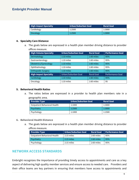#### **Embright Provider Manual**

| <b>High-Impact Specialty</b> | Urban/Suburban Goal | <b>Rural Goal</b> |
|------------------------------|---------------------|-------------------|
| Cardiology                   | 1:2500              | 1:3000            |
| Oncology                     | 1:2500              | 1:3000            |

#### **4. Specialty Care Distance**

a. The goals below are expressed in a health plan member driving distance to provider offices measure.

| <b>High-Volume Specialty</b> | <b>Urban/Suburban Goal</b> | <b>Rural Goal</b> | <b>Performance Goal</b> |
|------------------------------|----------------------------|-------------------|-------------------------|
| Dermatology                  | $1:10$ miles               | 1:60 miles        | 95%                     |
| Gastroenterology             | $1:10$ miles               | $1:60$ miles      | 95%                     |
| Obstetrics/Gynecology        | $1:10$ miles               | $1:60$ miles      | 95%                     |
| Ophthalmology                | $1:10$ miles               | $1:60$ miles      | 95%                     |
| <b>Orthopedic Surgery</b>    | $1:10$ miles               | $1:60$ miles      | 95%                     |
| <b>High-Impact Specialty</b> | Urban/Suburban Goal        | <b>Rural Goal</b> | Performance Goal        |
| Cardiology                   | $1:10$ miles               | $1:60$ miles      | 95%                     |
| Oncology                     | $1:10$ miles               | 1:60 miles        | 95                      |

#### **5. Behavioral Health Ratios**

a. The ratios below are expressed in a provider to health plan members rate in a geographic area.

| <b>Provider Type</b>         | Urban/Suburban Goal | <b>Rural Goal</b> |
|------------------------------|---------------------|-------------------|
| Outpatient Behavioral Health | 1:1000              | 1:3000            |
| Psychiatry                   | 1:2500              | 1:3000            |
| Psychology                   | 1:1000              | 1:1500            |

#### **6. Behavioral Health Distance**

a. The goals below are expressed in a health plan member driving distance to provider offices measure.

| <b>Provider Type</b>         | Urban/Suburban Goal | <b>Rural Goal</b> | <b>Performance Goal</b> |
|------------------------------|---------------------|-------------------|-------------------------|
| Outpatient Behavioral Health | $2:15$ miles        | 2:60 miles        | 95%                     |
| Psychiatry                   | $2:15$ miles        | 2:60 miles        | 95%                     |
| Psychology                   | $2:15$ miles        | 2:60 miles        | 95%                     |

#### **NETWORK ACCESS STANDARDS**

Embright recognizes the importance of providing timely access to appointments and care as a key aspect of delivering high quality member services and ensure access to needed care. Providers and their office teams are key partners in ensuring that members have access to appointments and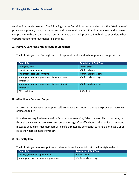services in a timely manner. The following are the Embright access standards for the listed types of providers – primary care, specialty care and behavioral health. Embright analyzes and evaluates compliance with these standards on an annual basis and provides feedback to providers when opportunities for improvement are identified.

#### **A. Primary Care Appointment Access Standards**

The following are the Embright access to appointment standards for primary care providers.

| <b>Type of Care</b>                               | <b>Appointment Wait Time</b> |
|---------------------------------------------------|------------------------------|
| <b>Emergency care</b>                             | Immediately                  |
| Urgent care appointments                          | Within 24 hours              |
| Preventative care appointments                    | Within 42 calendar days      |
| Non-urgent, routine appointments for symptomatic  | Within 7 calendar days       |
| conditions                                        |                              |
| Non-urgent, routine appointments for asymptomatic | Within 30 calendar days      |
| conditions                                        |                              |
| Office wait time                                  | 1-30 minutes                 |

#### **B. After Hours Care and Support**

All providers must have back-up (on call) coverage after hours or during the provider's absence or unavailability.

Providers are required to maintain a 24-hour phone service, 7 days a week. This access may be through an answering service or a recorded message after office hours. The service or recorded message should instruct members with a life-threatening emergency to hang up and call 911 or go to the nearest emergency room.

#### **C. Specialty Care**

The following access to appointment standards are for specialists in the Embright network.

| Type of Care <b>1</b>                       | <b>Appointment Wait Time</b> |
|---------------------------------------------|------------------------------|
| Urgent, symptomatic appointments            | Within 24 hours              |
| Non-urgent, specialty referral appointments | Within 30 calendar days      |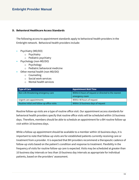#### **Embright Provider Manual**

#### **D. Behavioral Healthcare Access Standards**

The following access to appointment standards apply to behavioral health providers in the Embright network. Behavioral health providers include:

- Psychiatry (MD/DO)
	- o Psychiatry
	- o Pediatric psychiatry
- Psychology (non-MD/DO)
	- o Psychology
	- o Pediatric behavioral medicine
- Other mental health (non-MD/DO)
	- o Counseling
	- o Social work services
	- o Mental health services

| <b>Type of Care</b>                         | <b>Appointment Wait Time</b>                         |
|---------------------------------------------|------------------------------------------------------|
| Non-Life threatening emergency care         | Within 6 hours of request or directed to the nearest |
|                                             | emergency room                                       |
| Urgent care appointments                    | Within 48 hours of request                           |
| Routine initial and follow-up office visits | Within 10 business days of request                   |

Routine follow-up visits are a type of routine office visit. Our appointment access standards for behavioral health providers specify that routine office visits will be scheduled within 10 business days. Therefore, members should be able to schedule an appointment for a BH routine follow-up visit within 10 business days.

While a follow-up appointment should be available to a member within 10 business days, it is important to note that follow-up visits are for established patients currently receiving care or treatment from a provider. It is expected that BH providers recommend a therapeutic cadence of follow-up visits based on the patient's condition and response to treatment. Flexibility in the frequency of visits for routine follow-up care is expected. Visits may be scheduled at greater than 10 business day intervals or less than 10 business day intervals as appropriate for individual patients, based on the providers' assessment.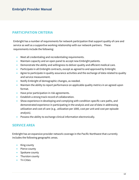## **PARTICIPATION CRITERIA**

Embright has a number of requirements for network participation that support quality of care and service as well as a supportive working relationship with our network partners. These requirements include the following:

- Meet all credentialing and recredentialing requirements.
- Maintain capacity and an open panel to accept new Embright patients.
- Demonstrate the ability and willingness to deliver quality and efficient medical care.
- Participate in all Embright contracts, except as agreed to and approved by Embright.
- Agree to participate in quality assurance activities and the exchange of data related to quality and service measurement.
- Notify Embright of demographic changes, as needed.
- Maintain the ability to report performance on applicable quality metrics in an agreed-upon format.
- Have prior participation in risk agreements.
- Establish a strong track record of collaboration.
- Show experience in developing and complying with condition-specific care paths, and demonstrated experience in participating in the analysis and use of data in addressing utilization and cost of care (e.g.. utilization per 1000, cost per unit and cost per episode analysis).
- Possess the ability to exchange clinical information electronically.

#### **SERVICE AREA**

Embright has an expansive provider network coverage in the Pacific Northwest that currently includes the following geographic areas.

- King county
- Pierce county
- Spokane county
- Thurston county
- Tri-Cities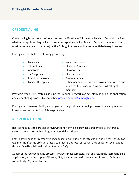**Embright Provider Manual**

# **CREDENTIALING**

Credentialing is the process of collection and verification of information by which Embright decides whether an applicant is qualified to render acceptable quality of care to Embright members. You must be credentialed in order to join the Embright network and be recredentialed every three years.

Embright credentials the following provider types:

- 
- 
- 
- Oral Surgeons Pharmacists
- Clinical Social Workers Acupuncturists
- 
- **Physicians Construction Processition Nurse Practitioners**
- Optometrists Physician Assistants
- Podiatrists Chiropractors
	-
	-
- Physical Therapists Other independent licensed provider authorized and approved to provide medical care to Embright members

Providers who are interested in joining the Embright network can get information on the application and credentialing process by contactin[g providersupport@embright.com.](mailto:providersupport@embright.com)

Embright also assesses facility and organizational providers through processes that verify relevant licensing and accreditation of those providers.

# **RECREDENTIALING**

Recredentialing is the process of reviewing and verifying a provider's credentials every three (3) years in conjunction with Embright's credentialing criteria.

Embright will send the recredentialing application, including the Attestation and Release, thirty-two (32) months after the provider's last credentialing approval or request the application be provided through One Health Port/Provider Source or CAQH.

As part of the recredentialing process, Providers must complete, sign and return the recredentialing application, including copies of license, DEA, and malpractice insurance certificate, to Embright within thirty (30) days of receipt.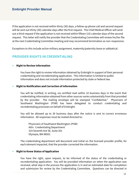If the application is not received within thirty (30) days, a follow up phone call and second request will be sent out thirty (30) calendar days after the first request. The Chief Medical Officer will send out a third request if the application is not received within fifteen (15) calendar days of the second request. This letter will notify the provider that the Credentialing Committee will review his/her file at the next Credentialing Committee meeting and may recommend termination as non-responsive.

Exceptions to this include active military assignment, maternity/paternity leave or sabbatical.

#### **PROVIDER RIGHTS IN CREDENTIALING**

#### • **Right to Review Information**

You have the right to review information obtained by Embright in support of their personal credentialing and recredentialing application. This information is limited to public information and does not include information protected by state or federal law.

#### • **Right to Notification and Correction of Information**

You will be notified, in writing, via certified mail within 10 business days in the event that credentialing information obtained from other sources varies substantially from that provided by the provider. The mailing envelope will be stamped "Confidential." Physicians of Southwest Washington (PSW) has been delegated to conduct credentialing and recredentialing processes on behalf of Embright.

You will be allowed up to 30 business days after the notice is sent to correct erroneous information. All responses must be mailed directed to:

Physicians of Southwest Washington (PSW) Attn: Credentialing Department 319 Seventh Ave SE, Suite 201 Olympia, WA 98501

The credentialing department will document and initial on the licensed provider profile, for each element impacted, that the provider corrected the information.

#### • **Right to Know Status of Application**

You have the right, upon request, to be informed of the status of the credentialing or recredentialing application. You will be provided information on when the application was received, what step in the process the application is in and an estimated date for completion and submission for review by the Credentialing Committee. Questions can be directed in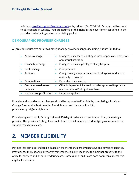writing to [providersupport@embright.com](mailto:providersupport@embright.com) or by calling (206) 677-8133. Embright will respond to all requests in writing. You are notified of this right in the cover letter contained in the provider credentialing and recredentialing packet.

## **DEMOGRAPHIC PROVIDER CHANGES**

All providers must give notice to Embright of any provider changes including, but not limited to:

| Address change            | Changes to licensure resulting in loss, suspension, restriction, |  |  |  |
|---------------------------|------------------------------------------------------------------|--|--|--|
|                           | or material limitation                                           |  |  |  |
| Ownership change          | Changes to clinical privileges at any hospital                   |  |  |  |
| Tax ID change             | Chiropractors                                                    |  |  |  |
| Additions                 | Change to any malpractice action filed against or decided        |  |  |  |
|                           | adversely to provider                                            |  |  |  |
| <b>Terminations</b>       | Federal or state sanction                                        |  |  |  |
| Practice closed to new    | Other independent licensed provider approved to provide          |  |  |  |
| patients                  | medical care to Embright members                                 |  |  |  |
| Medical group affiliation | Language spoken                                                  |  |  |  |

Provider and provider group changes should be reported to Embright by completing a Provider Change Form available at provider.Embright.com and then emailing it to providersupport@embright.com.

Providers agree to notify Embright at least 180 days in advance of termination from, or leaving a practice. This provides Embright adequate time to assist members in identifying a new provider or support transition of care.

# **2. MEMBER ELIGIBILITY**

Payment for services rendered is based on the member's enrollment status and coverage selected. Provider has the responsibility to verify member eligibility each time the member presents to the office for services and prior to rendering care. Possession of an ID card does not mean a member is eligible for services.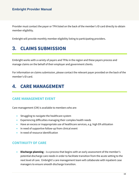Provider must contact the payer or TPA listed on the back of the member's ID card directly to obtain member eligibility.

Embright will provide monthly member eligibility listing to participating providers.

# **3. CLAIMS SUBMISSION**

Embright works with a variety of payers and TPAs in the region and these payers process and manage claims on the behalf of their employer and government clients.

For information on claims submission, please contact the relevant payer provided on the back of the member's ID card.

# **4. CARE MANAGEMENT**

## **CARE MANAGEMENT EVENT**

Care management (CM) is available to members who are:

- Struggling to navigate the healthcare system
- Experiencing difficulties managing their complex health needs
- Have an excess or inappropriate use of healthcare services, e.g. high ER utilization
- In need of supportive follow-up from clinical event
- In need of resource identification

## **CONTINUITY OF CARE**

• **Discharge planning** – is a process that begins with an early assessment of the member's potential discharge care needs in order to facilitate transition from the acute setting to the next level of care. Embright's care management team will collaborate with inpatient case managers to ensure smooth discharge transition.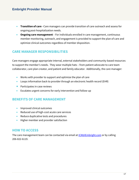- **Transition of care** –Care managers can provide transition of care outreach and assess for ongoing post-hospitalization needs.
- **Ongoing care management** For individuals enrolled in care management, continuous member monitoring, outreach, and engagement is provided to support the plan of care and optimize clinical outcomes regardless of member disposition.

# **CARE MANAGER RESPONSIBILITIES**

Care managers engage appropriate internal, external stakeholders and community-based resources to support the member's needs. They wear multiple hats – from patient advocate to care team collaborator, care plan creator, and patient and family educator. Additionally, the care manager:

- Works with provider to support and optimize the plan of care
- Loops information back to provider through an electronic health record (EHR)
- Participates in case reviews
- Escalates urgent concerns for early intervention and follow-up

#### **BENEFITS OF CARE MANAGEMENT**

- Improved clinical outcomes
- Reduced use of high-cost acute care services
- Reduce duplicative tests and procedures
- Higher member and provider satisfaction

#### **HOW TO ACCESS**

The care management team can be contacted via email at *ICM@Embright.com* or by calling 206-822-6119.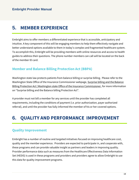# **5. MEMBER EXPERIENCE**

Embright aims to offer members a differentiated experience that is accessible, anticipatory and intuitive. A key component of this will be engaging members to help them effectively navigate and better understand options available to them in today's complex and fragmented healthcare system. To accomplish this, Embright will be providing members with online resources and access to health guides to address their questions. The phone number members can call will be located on the back of the member ID card.

## **Member and Balance Billing Protection Act (BBPA)**

Washington state law protects patients from balance billing or surprise billing. Please refer to the Washington State Office of the Insurance Commissioner webpage, [Surprise billing and the Balance](https://www.insurance.wa.gov/surprise-billing-and-balance-billing-protection-act)  [Billing Protection Act | Washington state Office of the Insurance Commissioner,](https://www.insurance.wa.gov/surprise-billing-and-balance-billing-protection-act) for more information on "Surprise billing and the Balance billing Protection Act".

A provider must not bill a member for any services until the provider has completed all requirements, including the conditions of payment (i.e. prior authorization, payer authorized referral), and until the provider has fully informed the member of his or her covered options.

# **6. QUALITY AND PERFORMANCE IMPROVEMENT**

## **Quality Improvement**

Embright has a number of routine and targeted initiatives focused on improving healthcare cost, quality and the member experience. Providers are expected to participate in, and cooperate with, these programs and can provide valuable insight as partners and leaders in improving quality. Provider performance data such as measures from the Healthcare Effectiveness Data Information Set (HEDIS) is used in these programs and providers and providers agree to allow Embright to use this data for quality improvement programs.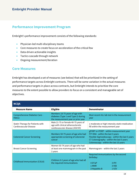## **Performance Improvement Program**

Embright's performance improvement consists of the following standards:

- Physician-led multi-disciplinary teams
- Core measures to create focus on acceleration of the critical few
- Data-driven actionable insights
- Tactics cascade through network
- Ongoing measurement/iteration

#### **Core Measures**

Embright has developed a set of measures (see below) that will be prioritized in the setting of performance targets across Embright contracts. There will be some variation in the actual measures and performance targets in place across contracts, but Embright intends to prioritize the core measures to the extent possible to allow providers to focus on a consistent and manageable set of objectives.

| <b>NCQA</b>                                                |                                                                                                              |                                                                                                                                                                                                                          |  |  |  |
|------------------------------------------------------------|--------------------------------------------------------------------------------------------------------------|--------------------------------------------------------------------------------------------------------------------------------------------------------------------------------------------------------------------------|--|--|--|
| <b>Measure Name</b>                                        | <b>Eligible</b>                                                                                              | <b>Denominator</b>                                                                                                                                                                                                       |  |  |  |
| Comprehensive Diabetes Care -<br>HbA1c                     | Members 18-75 years of age with<br>diabetes (Type 1 and Type 2) during<br>the measurement year or prior year | Most recent A1c lab test in the measurement<br>year                                                                                                                                                                      |  |  |  |
| Statin Therapy for Patients with<br>Cardiovascular Disease | Male 21-75 or female 40-75 years of<br>age with clinical atherosclerotic<br>cardiovascular disease (ASCVD)   | 1 moderate or high intensity statin medication<br>fill within the measurement year                                                                                                                                       |  |  |  |
| <b>Colorectal Cancer Screening</b>                         | Members 50-75 years of age who had<br>appropriate screening of colorectal<br>cancer                          | gFOBT or iFOBT - within measurement year<br>FIT DNA - within the last 3 years<br>Flexible Sigmoidoscopy - within the last 5 years<br>CT Colonography - within the last 5 years<br>Colonoscopy - within the last 10 years |  |  |  |
| <b>Breast Cancer Screening</b>                             | Women 50-74 years of age who had<br>at least one mammogram in the past<br>2 years                            | Mammogram - within the last 2 years                                                                                                                                                                                      |  |  |  |
| <b>Childhood Immunization (CIS10)</b>                      | Children 0-2 years of age who had all<br>the required immunizations                                          | Required immunizations by the second<br>birthday:<br>3 IPV<br>4 DTaP<br>1 MMR<br>3 HiB<br>3 Hepatitis B<br>1 VZV                                                                                                         |  |  |  |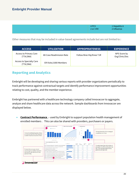|  | 4 PCV<br>2 or 3 RV | 1 Hepatitis A<br>2 Influenza |  |
|--|--------------------|------------------------------|--|
|--|--------------------|------------------------------|--|

Other measures that may be included in value-based agreements include but are not limited to :

| <b>ACCESS</b>                              | <b>UTILIZATION</b>        | <b>APPROPRIATENESS</b>   | <b>EXPERIENCE</b>              |
|--------------------------------------------|---------------------------|--------------------------|--------------------------------|
| <b>Access to Primary Care</b><br>(TTA/3NA) | All-Case Readmission Rate | Follow Bree Hip/Knee TJR | NPS Score by<br>Org/Clinic/Doc |
| Access to Specialty Care<br>(TTA/3NA)      | ER Visits/1000 Members    |                          |                                |

## **Reporting and Analytics**

Embright will be developing and sharing various reports with provider organizations periodically to track performance against contractual targets and identify performance improvement opportunities relating to cost, quality, and the member experience.

Embright has partnered with a healthcare technology company called Innovaccer to aggregate, analyze and share healthcare data across the network. Sample dashboards from Innovaccer are displayed below.

• **Contract Performance** – used by Embright to support population health management of enrolled members . This can also be shared with providers, purchasers or payers.

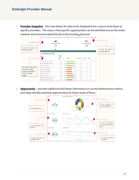• **Provider Snapshot** – this view allows for data to be displayed from a macro level down to specific providers. The value is that specific opportunities can be identified across the entire network and communicated directly to the treating physician.

| To track the number of<br><b>Measures Applicable</b> | HMO<br># of Measures Applicable<br>10<br>▴                          |                  |             |               |                 | <b>PPO</b><br># of Measures Applicable<br>10 | To track the number of<br>Measures Applicable |  |
|------------------------------------------------------|---------------------------------------------------------------------|------------------|-------------|---------------|-----------------|----------------------------------------------|-----------------------------------------------|--|
|                                                      | G Gaps in Quality Metrics (Jul' 18 Rolling)<br>PPO<br>A.<br>Messure |                  |             |               |                 |                                              |                                               |  |
|                                                      |                                                                     | Measure<br>Value | <b>Goal</b> | % of Goal Mat | Notwork Average | # Gap to Goal                                | Care Gap                                      |  |
|                                                      | ET APPROPRIATE TREATMENT CHILD WITH URL                             | 81,65%           | 81.74%      | 100.00%       | 85.68%          |                                              |                                               |  |
|                                                      | ET AVOID ANTEROTICS FOR AQU'IE BRONOHITES                           | 73,67%           | 08.56%      | 100.00%       | 23.62%          | ò                                            | Ш                                             |  |
|                                                      | ET BREAST CANCER SCREENING                                          | 71,65%           | 6837K       | 100.00%       | 7042%           | $\alpha$                                     | 301                                           |  |
| To track the care gap closed                         | ET CERVICAL CANCER SCREENING                                        | 61.67%           | 75.64%      | 31,54%        | \$1,38%         | 7411                                         | 670                                           |  |
| percentage for quality                               | ET CHILDI OCO IMAUNIZATION (MMR)                                    | 66,95%           | 100.10      | 73.37%        | 66955           | 18                                           | 17                                            |  |
| measures and identify the                            | ET COLORECTAL CANCER SCREENING                                      | 41.776           | 1504t       | 万政            | 41.44%          | 248                                          | <b>Light</b>                                  |  |
| number of care gaps                                  | ET DIABETES HBATC LESS THAN 8                                       | 44.03%           | 51.32%      | 85726         | 4568%           | 15                                           | 312                                           |  |
| pending                                              | ET DIAIKTESHIKATC TESTING                                           | ALTIV.           | 03.67%      | <b>UZ BEL</b> | <b>RACITA</b>   | 13 <sup>2</sup>                              | 10                                            |  |
|                                                      | ET INVIGING IN UNCOMPLICATED LOW BACK FAINT                         | 83,15%           | (4.55%)     | 100.00%       | 82.75%          |                                              | n                                             |  |
|                                                      | ET TESTING FOR PHARYNOTTS 2 TO 18 YEARS                             | 77.02%           | U2 473, 1   | 832%          | 77.00%          | 16                                           | 22                                            |  |

• **Opportunity** – provides additional drill down information on current performance metrics and helps identify potential opportunities for future areas of focus.

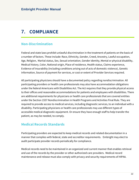# **7. COMPLIANCE**

## **Non-Discrimination**

Federal and state laws prohibit unlawful discrimination in the treatment of patients on the basis of a number of factors. These include: Race, Ethnicity, Gender, Creed, Ancestry, Lawful occupation, Age, Religion, Marital status, Sex, Sexual orientation, Gender identity, Mental or physical disability, Medical history, Color, National origin, Place of residence, Health status, Claims experience, Evidence of insurability (including conditions arising out of acts of domestic violence), Genetic information, Source of payment for services, or cost or extent of Provider Services required.

All participating physicians should have a documented policy regarding nondiscrimination. All participating providers or health care professionals may also have accommodation obligations under the federal Americans with Disabilities Act. The Act requires that they provide physical access to their offices and reasonable accommodations for patients and employees with disabilities. There are additional requirements for physicians or health care professionals that are covered entities under the Section 1557 Nondiscrimination in Health Programs and Activities Final Rule. They are required to provide access to medical services, including diagnostic services, to an individual with a disability. Participating physicians or health care professionals may use different types of accessible medical diagnostic equipment. Or ensure they have enough staff to help transfer the patient, as may be needed, to comply.

## **Medical Records Standards**

Participating providers are expected to keep medical records and related documentation in a manner that complies with federal, state and accreditor requirements. Embright may elect to audit participate provider records periodically for compliance.

Medical records need to be maintained in an organized and current manner that enables retrieval and use of the records by the provider or other authorized care providers. Medical record maintenance and release must also comply with privacy and security requirements of HIPAA.